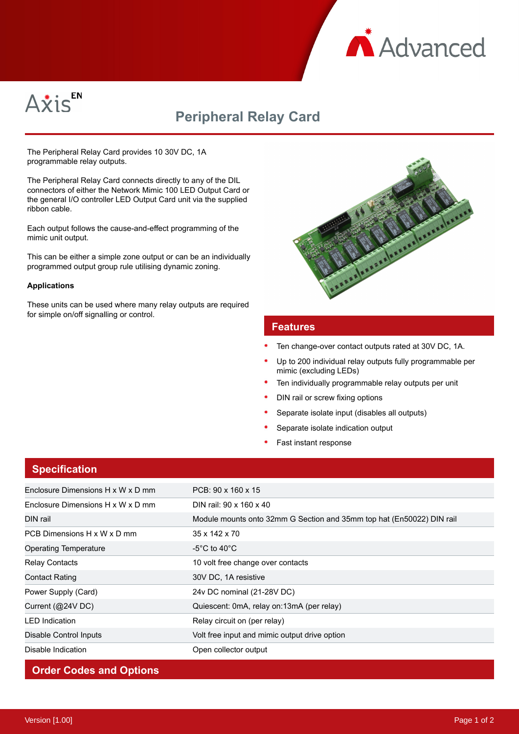



# **Peripheral Relay Card**

The Peripheral Relay Card provides 10 30V DC, 1A programmable relay outputs.

The Peripheral Relay Card connects directly to any of the DIL connectors of either the Network Mimic 100 LED Output Card or the general I/O controller LED Output Card unit via the supplied ribbon cable.

Each output follows the cause-and-effect programming of the mimic unit output.

This can be either a simple zone output or can be an individually programmed output group rule utilising dynamic zoning.

#### **Applications**

These units can be used where many relay outputs are required for simple on/off signalling or control.



#### **Features**

- Ten change-over contact outputs rated at 30V DC, 1A.
- Up to 200 individual relay outputs fully programmable per mimic (excluding LEDs)
- Ten individually programmable relay outputs per unit
- DIN rail or screw fixing options
- Separate isolate input (disables all outputs)
- Separate isolate indication output
- Fast instant response

| <b>Specification</b>              |                                                                       |
|-----------------------------------|-----------------------------------------------------------------------|
| Enclosure Dimensions H x W x D mm | $PCB: 90 \times 160 \times 15$                                        |
| Enclosure Dimensions H x W x D mm | DIN rail: 90 x 160 x 40                                               |
| DIN rail                          | Module mounts onto 32mm G Section and 35mm top hat (En50022) DIN rail |
| PCB Dimensions H x W x D mm       | 35 x 142 x 70                                                         |
| Operating Temperature             | -5°C to 40°C.                                                         |
| <b>Relay Contacts</b>             | 10 volt free change over contacts                                     |
| <b>Contact Rating</b>             | 30V DC, 1A resistive                                                  |
| Power Supply (Card)               | 24v DC nominal (21-28V DC)                                            |
| Current $(Q24VDC)$                | Quiescent: 0mA, relay on:13mA (per relay)                             |
| <b>LED</b> Indication             | Relay circuit on (per relay)                                          |
| Disable Control Inputs            | Volt free input and mimic output drive option                         |
| Disable Indication                | Open collector output                                                 |

### **Order Codes and Options**